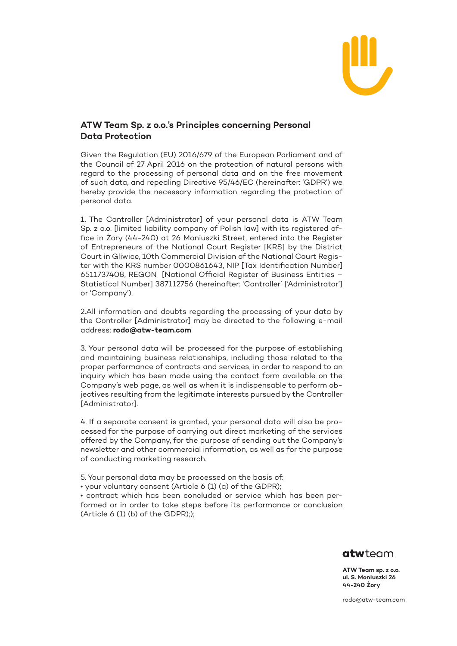

## **ATW Team Sp. z o.o.'s Principles concerning Personal Data Protection**

Given the Regulation (EU) 2016/679 of the European Parliament and of the Council of 27 April 2016 on the protection of natural persons with regard to the processing of personal data and on the free movement of such data, and repealing Directive 95/46/EC (hereinafter: 'GDPR') we hereby provide the necessary information regarding the protection of personal data.

1. The Controller [Administrator] of your personal data is ATW Team Sp. z o.o. [limited liability company of Polish law] with its registered office in Żory (44-240) at 26 Moniuszki Street, entered into the Register of Entrepreneurs of the National Court Register [KRS] by the District Court in Gliwice, 10th Commercial Division of the National Court Register with the KRS number 0000861643, NIP [Tax Identification Number] 6511737408, REGON [National Official Register of Business Entities – Statistical Number] 387112756 (hereinafter: 'Controller' ['Administrator'] or 'Company').

2.All information and doubts regarding the processing of your data by the Controller [Administrator] may be directed to the following e-mail address: **[rodo@atw-team.com](mailto:rodo@atw-team.com)**

3. Your personal data will be processed for the purpose of establishing and maintaining business relationships, including those related to the proper performance of contracts and services, in order to respond to an inquiry which has been made using the contact form available on the Company's web page, as well as when it is indispensable to perform objectives resulting from the legitimate interests pursued by the Controller [Administrator].

4. If a separate consent is granted, your personal data will also be processed for the purpose of carrying out direct marketing of the services offered by the Company, for the purpose of sending out the Company's newsletter and other commercial information, as well as for the purpose of conducting marketing research.

5. Your personal data may be processed on the basis of:

• your voluntary consent (Article 6 (1) (a) of the GDPR);

• contract which has been concluded or service which has been performed or in order to take steps before its performance or conclusion (Article  $6$  (1) (b) of the GDPR););



**ATW Team sp. z o.o. ul. S. Moniuszki 26 44-240 Żory**

[rodo@atw-team.com](mailto:rodo@atw-team.com)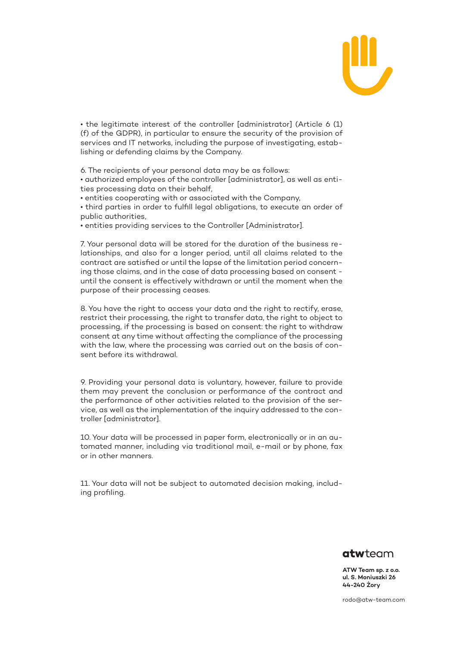

• the legitimate interest of the controller [administrator] (Article 6 (1) (f) of the GDPR), in particular to ensure the security of the provision of services and IT networks, including the purpose of investigating, establishing or defending claims by the Company.

6. The recipients of your personal data may be as follows:

• authorized employees of the controller [administrator], as well as entities processing data on their behalf,

• entities cooperating with or associated with the Company,

• third parties in order to fulfill legal obligations, to execute an order of public authorities,

• entities providing services to the Controller [Administrator].

7. Your personal data will be stored for the duration of the business relationships, and also for a longer period, until all claims related to the contract are satisfied or until the lapse of the limitation period concerning those claims, and in the case of data processing based on consent until the consent is effectively withdrawn or until the moment when the purpose of their processing ceases.

8. You have the right to access your data and the right to rectify, erase, restrict their processing, the right to transfer data, the right to object to processing, if the processing is based on consent: the right to withdraw consent at any time without affecting the compliance of the processing with the law, where the processing was carried out on the basis of consent before its withdrawal.

9. Providing your personal data is voluntary, however, failure to provide them may prevent the conclusion or performance of the contract and the performance of other activities related to the provision of the service, as well as the implementation of the inquiry addressed to the controller [administrator].

10. Your data will be processed in paper form, electronically or in an automated manner, including via traditional mail, e-mail or by phone, fax or in other manners.

11. Your data will not be subject to automated decision making, including profiling.



**ATW Team sp. z o.o. ul. S. Moniuszki 26 44-240 Żory**

[rodo@atw-team.com](mailto:rodo@atw-team.com)